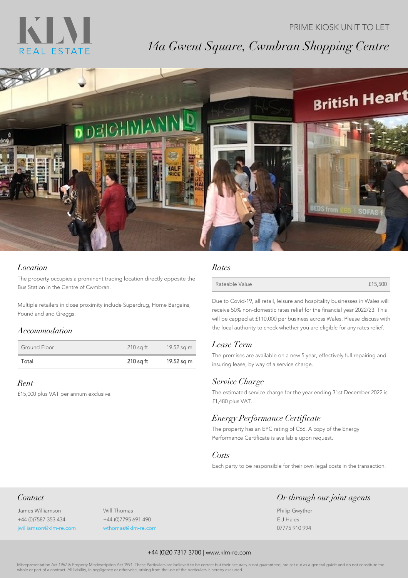## KLN REAL ESTATE

# *14a Gwent Square, Cwmbran Shopping Centre*

PRIME KIOSK UNIT TO LET



### *Location*

The property occupies a prominent trading location directly opposite the Bus Station in the Centre of Cwmbran.

Multiple retailers in close proximity include Superdrug, Home Bargains, Poundland and Greggs.

#### *Accommodation*

| Ground Floor | 210 sg ft | 19.52 sq m |
|--------------|-----------|------------|
| Total        | 210 sa ft | 19.52 sq m |

#### *Rent*

£15,000 plus VAT per annum exclusive.

#### *Rates*

| Rateable Value | £15,500 |
|----------------|---------|
|                |         |

Due to Covid-19, all retail, leisure and hospitality businesses in Wales will receive 50% non-domestic rates relief for the financial year 2022/23. This will be capped at £110,000 per business across Wales. Please discuss with the local authority to check whether you are eligible for any rates relief.

## *Lease Term*

The premises are available on a new 5 year, effectively full repairing and insuring lease, by way of a service charge.

#### *Service Charge*

The estimated service charge for the year ending 31st December 2022 is £1,480 plus VAT.

## *Energy Performance Certificate*

The property has an EPC rating of C66. A copy of the Energy Performance Certificate is available upon request.

#### *Costs*

Each party to be responsible for their own legal costs in the transaction.

Philip Gwyther E J Hales 07775 910 994

*Or through our joint agents*

## *Contact*

James Williamson +44 (0)7587 353 434 jwilliamson@klm-re.com Will Thomas +44 (0)7795 691 490 wthomas@klm-re.com

#### +44 (0)20 7317 3700 | www.klm-re.com

Misrepresentation Act 1967 & Property Misdescription Act 1991. These Particulars are believed to be correct but their accuracy is not guaranteed, are set out as a general guide and do not constitute the or part of a contract. All liability, in negligence or otherwise, arising from the use of the particulars is hereby excluded